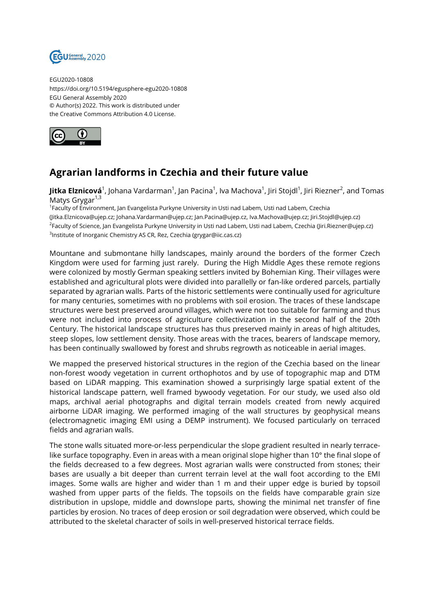

EGU2020-10808 https://doi.org/10.5194/egusphere-egu2020-10808 EGU General Assembly 2020 © Author(s) 2022. This work is distributed under the Creative Commons Attribution 4.0 License.



## **Agrarian landforms in Czechia and their future value**

**Jitka Elznicová**<sup>1</sup>, Johana Vardarman<sup>1</sup>, Jan Pacina<sup>1</sup>, Iva Machova<sup>1</sup>, Jiri Stojdl<sup>1</sup>, Jiri Riezner<sup>2</sup>, and Tomas Matys Grygar<sup>1,3</sup>

<sup>1</sup>Faculty of Environment, Jan Evangelista Purkyne University in Usti nad Labem, Usti nad Labem, Czechia

(Jitka.Elznicova@ujep.cz; Johana.Vardarman@ujep.cz; Jan.Pacina@ujep.cz, Iva.Machova@ujep.cz; Jiri.Stojdl@ujep.cz) <sup>2</sup>Faculty of Science, Jan Evangelista Purkyne University in Usti nad Labem, Usti nad Labem, Czechia (Jiri.Riezner@ujep.cz) <sup>3</sup>Institute of Inorganic Chemistry AS CR, Rez, Czechia (grygar@iic.cas.cz)

Mountane and submontane hilly landscapes, mainly around the borders of the former Czech Kingdom were used for farming just rarely. During the High Middle Ages these remote regions were colonized by mostly German speaking settlers invited by Bohemian King. Their villages were established and agricultural plots were divided into parallelly or fan-like ordered parcels, partially separated by agrarian walls. Parts of the historic settlements were continually used for agriculture for many centuries, sometimes with no problems with soil erosion. The traces of these landscape structures were best preserved around villages, which were not too suitable for farming and thus were not included into process of agriculture collectivization in the second half of the 20th Century. The historical landscape structures has thus preserved mainly in areas of high altitudes, steep slopes, low settlement density. Those areas with the traces, bearers of landscape memory, has been continually swallowed by forest and shrubs regrowth as noticeable in aerial images.

We mapped the preserved historical structures in the region of the Czechia based on the linear non-forest woody vegetation in current orthophotos and by use of topographic map and DTM based on LiDAR mapping. This examination showed a surprisingly large spatial extent of the historical landscape pattern, well framed bywoody vegetation. For our study, we used also old maps, archival aerial photographs and digital terrain models created from newly acquired airborne LiDAR imaging. We performed imaging of the wall structures by geophysical means (electromagnetic imaging EMI using a DEMP instrument). We focused particularly on terraced fields and agrarian walls.

The stone walls situated more-or-less perpendicular the slope gradient resulted in nearly terracelike surface topography. Even in areas with a mean original slope higher than 10° the final slope of the fields decreased to a few degrees. Most agrarian walls were constructed from stones; their bases are usually a bit deeper than current terrain level at the wall foot according to the EMI images. Some walls are higher and wider than 1 m and their upper edge is buried by topsoil washed from upper parts of the fields. The topsoils on the fields have comparable grain size distribution in upslope, middle and downslope parts, showing the minimal net transfer of fine particles by erosion. No traces of deep erosion or soil degradation were observed, which could be attributed to the skeletal character of soils in well-preserved historical terrace fields.